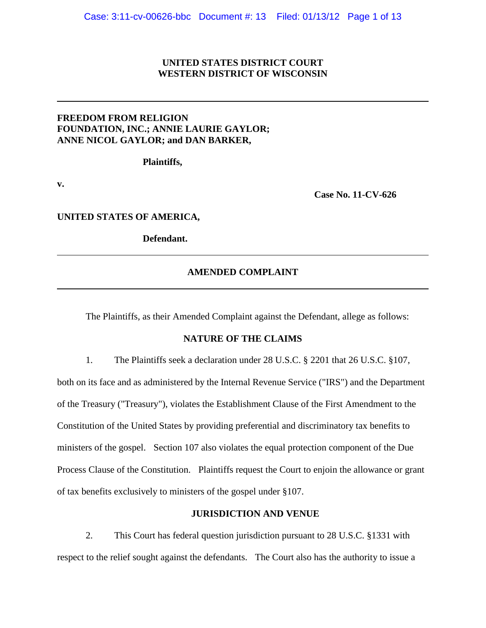## **UNITED STATES DISTRICT COURT WESTERN DISTRICT OF WISCONSIN**

## **FREEDOM FROM RELIGION FOUNDATION, INC.; ANNIE LAURIE GAYLOR; ANNE NICOL GAYLOR; and DAN BARKER,**

**Plaintiffs,**

**v.**

**Case No. 11-CV-626**

**UNITED STATES OF AMERICA,**

**Defendant.**

## **AMENDED COMPLAINT**

The Plaintiffs, as their Amended Complaint against the Defendant, allege as follows:

### **NATURE OF THE CLAIMS**

1. The Plaintiffs seek a declaration under 28 U.S.C. § 2201 that 26 U.S.C. §107,

both on its face and as administered by the Internal Revenue Service ("IRS") and the Department of the Treasury ("Treasury"), violates the Establishment Clause of the First Amendment to the Constitution of the United States by providing preferential and discriminatory tax benefits to ministers of the gospel. Section 107 also violates the equal protection component of the Due Process Clause of the Constitution. Plaintiffs request the Court to enjoin the allowance or grant of tax benefits exclusively to ministers of the gospel under §107.

### **JURISDICTION AND VENUE**

2. This Court has federal question jurisdiction pursuant to 28 U.S.C. §1331 with respect to the relief sought against the defendants. The Court also has the authority to issue a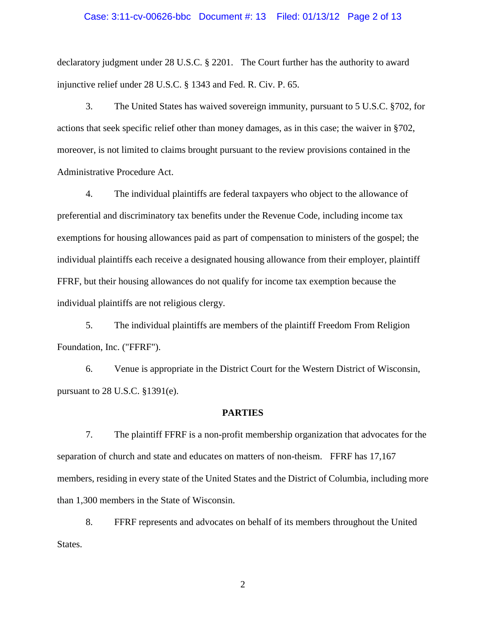### Case: 3:11-cv-00626-bbc Document #: 13 Filed: 01/13/12 Page 2 of 13

declaratory judgment under 28 U.S.C. § 2201. The Court further has the authority to award injunctive relief under 28 U.S.C. § 1343 and Fed. R. Civ. P. 65.

3. The United States has waived sovereign immunity, pursuant to 5 U.S.C. §702, for actions that seek specific relief other than money damages, as in this case; the waiver in §702, moreover, is not limited to claims brought pursuant to the review provisions contained in the Administrative Procedure Act.

4. The individual plaintiffs are federal taxpayers who object to the allowance of preferential and discriminatory tax benefits under the Revenue Code, including income tax exemptions for housing allowances paid as part of compensation to ministers of the gospel; the individual plaintiffs each receive a designated housing allowance from their employer, plaintiff FFRF, but their housing allowances do not qualify for income tax exemption because the individual plaintiffs are not religious clergy.

5. The individual plaintiffs are members of the plaintiff Freedom From Religion Foundation, Inc. ("FFRF").

6. Venue is appropriate in the District Court for the Western District of Wisconsin, pursuant to 28 U.S.C. §1391(e).

#### **PARTIES**

7. The plaintiff FFRF is a non-profit membership organization that advocates for the separation of church and state and educates on matters of non-theism. FFRF has 17,167 members, residing in every state of the United States and the District of Columbia, including more than 1,300 members in the State of Wisconsin.

8. FFRF represents and advocates on behalf of its members throughout the United States.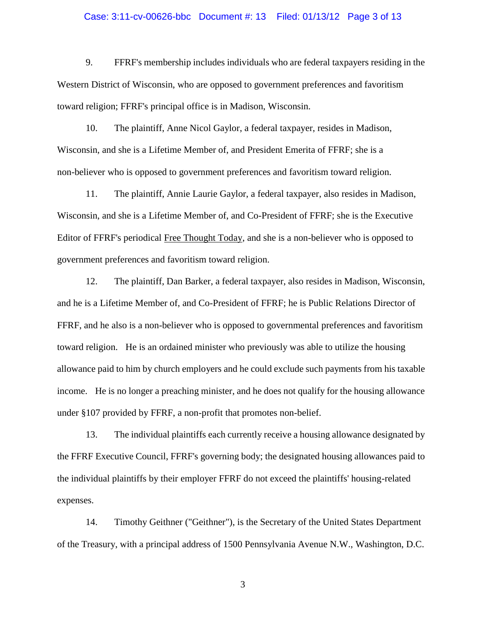### Case: 3:11-cv-00626-bbc Document #: 13 Filed: 01/13/12 Page 3 of 13

9. FFRF's membership includes individuals who are federal taxpayers residing in the Western District of Wisconsin, who are opposed to government preferences and favoritism toward religion; FFRF's principal office is in Madison, Wisconsin.

10. The plaintiff, Anne Nicol Gaylor, a federal taxpayer, resides in Madison, Wisconsin, and she is a Lifetime Member of, and President Emerita of FFRF; she is a non-believer who is opposed to government preferences and favoritism toward religion.

11. The plaintiff, Annie Laurie Gaylor, a federal taxpayer, also resides in Madison, Wisconsin, and she is a Lifetime Member of, and Co-President of FFRF; she is the Executive Editor of FFRF's periodical Free Thought Today, and she is a non-believer who is opposed to government preferences and favoritism toward religion.

12. The plaintiff, Dan Barker, a federal taxpayer, also resides in Madison, Wisconsin, and he is a Lifetime Member of, and Co-President of FFRF; he is Public Relations Director of FFRF, and he also is a non-believer who is opposed to governmental preferences and favoritism toward religion. He is an ordained minister who previously was able to utilize the housing allowance paid to him by church employers and he could exclude such payments from his taxable income. He is no longer a preaching minister, and he does not qualify for the housing allowance under §107 provided by FFRF, a non-profit that promotes non-belief.

13. The individual plaintiffs each currently receive a housing allowance designated by the FFRF Executive Council, FFRF's governing body; the designated housing allowances paid to the individual plaintiffs by their employer FFRF do not exceed the plaintiffs' housing-related expenses.

14. Timothy Geithner ("Geithner"), is the Secretary of the United States Department of the Treasury, with a principal address of 1500 Pennsylvania Avenue N.W., Washington, D.C.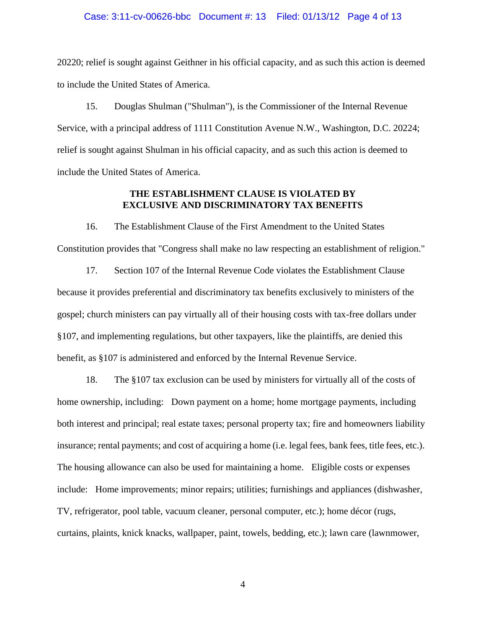### Case: 3:11-cv-00626-bbc Document #: 13 Filed: 01/13/12 Page 4 of 13

20220; relief is sought against Geithner in his official capacity, and as such this action is deemed to include the United States of America.

15. Douglas Shulman ("Shulman"), is the Commissioner of the Internal Revenue Service, with a principal address of 1111 Constitution Avenue N.W., Washington, D.C. 20224; relief is sought against Shulman in his official capacity, and as such this action is deemed to include the United States of America.

## **THE ESTABLISHMENT CLAUSE IS VIOLATED BY EXCLUSIVE AND DISCRIMINATORY TAX BENEFITS**

16. The Establishment Clause of the First Amendment to the United States Constitution provides that "Congress shall make no law respecting an establishment of religion."

17. Section 107 of the Internal Revenue Code violates the Establishment Clause because it provides preferential and discriminatory tax benefits exclusively to ministers of the gospel; church ministers can pay virtually all of their housing costs with tax-free dollars under §107, and implementing regulations, but other taxpayers, like the plaintiffs, are denied this benefit, as §107 is administered and enforced by the Internal Revenue Service.

18. The §107 tax exclusion can be used by ministers for virtually all of the costs of home ownership, including: Down payment on a home; home mortgage payments, including both interest and principal; real estate taxes; personal property tax; fire and homeowners liability insurance; rental payments; and cost of acquiring a home (i.e. legal fees, bank fees, title fees, etc.). The housing allowance can also be used for maintaining a home. Eligible costs or expenses include: Home improvements; minor repairs; utilities; furnishings and appliances (dishwasher, TV, refrigerator, pool table, vacuum cleaner, personal computer, etc.); home décor (rugs, curtains, plaints, knick knacks, wallpaper, paint, towels, bedding, etc.); lawn care (lawnmower,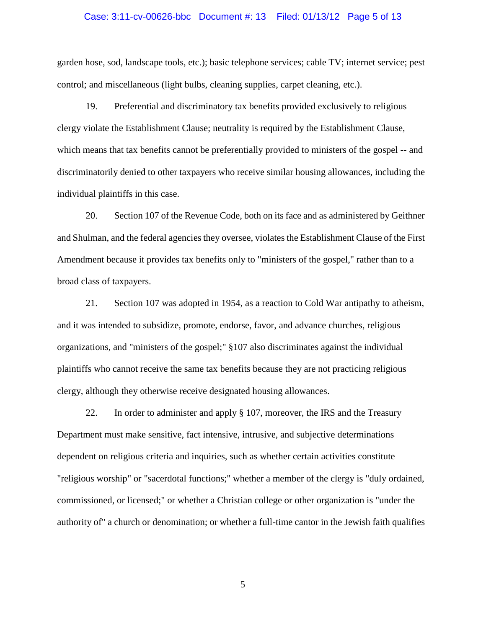### Case: 3:11-cv-00626-bbc Document #: 13 Filed: 01/13/12 Page 5 of 13

garden hose, sod, landscape tools, etc.); basic telephone services; cable TV; internet service; pest control; and miscellaneous (light bulbs, cleaning supplies, carpet cleaning, etc.).

19. Preferential and discriminatory tax benefits provided exclusively to religious clergy violate the Establishment Clause; neutrality is required by the Establishment Clause, which means that tax benefits cannot be preferentially provided to ministers of the gospel -- and discriminatorily denied to other taxpayers who receive similar housing allowances, including the individual plaintiffs in this case.

20. Section 107 of the Revenue Code, both on its face and as administered by Geithner and Shulman, and the federal agencies they oversee, violates the Establishment Clause of the First Amendment because it provides tax benefits only to "ministers of the gospel," rather than to a broad class of taxpayers.

21. Section 107 was adopted in 1954, as a reaction to Cold War antipathy to atheism, and it was intended to subsidize, promote, endorse, favor, and advance churches, religious organizations, and "ministers of the gospel;" §107 also discriminates against the individual plaintiffs who cannot receive the same tax benefits because they are not practicing religious clergy, although they otherwise receive designated housing allowances.

22. In order to administer and apply § 107, moreover, the IRS and the Treasury Department must make sensitive, fact intensive, intrusive, and subjective determinations dependent on religious criteria and inquiries, such as whether certain activities constitute "religious worship" or "sacerdotal functions;" whether a member of the clergy is "duly ordained, commissioned, or licensed;" or whether a Christian college or other organization is "under the authority of" a church or denomination; or whether a full-time cantor in the Jewish faith qualifies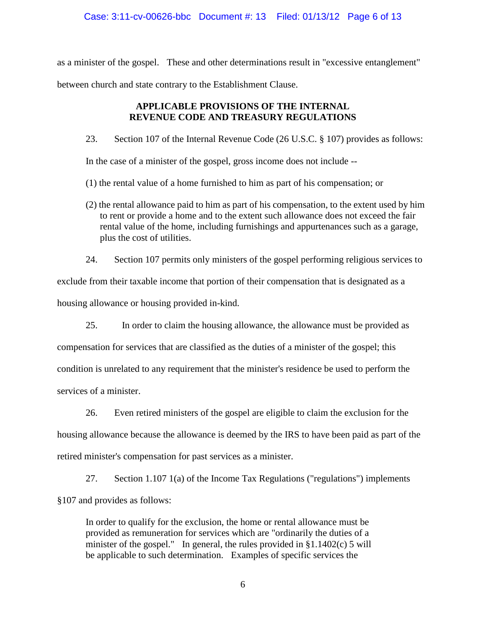## Case: 3:11-cv-00626-bbc Document #: 13 Filed: 01/13/12 Page 6 of 13

as a minister of the gospel. These and other determinations result in "excessive entanglement"

between church and state contrary to the Establishment Clause.

## **APPLICABLE PROVISIONS OF THE INTERNAL REVENUE CODE AND TREASURY REGULATIONS**

23. Section 107 of the Internal Revenue Code (26 U.S.C. § 107) provides as follows:

In the case of a minister of the gospel, gross income does not include --

(1) the rental value of a home furnished to him as part of his compensation; or

(2) the rental allowance paid to him as part of his compensation, to the extent used by him to rent or provide a home and to the extent such allowance does not exceed the fair rental value of the home, including furnishings and appurtenances such as a garage, plus the cost of utilities.

24. Section 107 permits only ministers of the gospel performing religious services to

exclude from their taxable income that portion of their compensation that is designated as a

housing allowance or housing provided in-kind.

25. In order to claim the housing allowance, the allowance must be provided as compensation for services that are classified as the duties of a minister of the gospel; this condition is unrelated to any requirement that the minister's residence be used to perform the services of a minister.

26. Even retired ministers of the gospel are eligible to claim the exclusion for the housing allowance because the allowance is deemed by the IRS to have been paid as part of the retired minister's compensation for past services as a minister.

27. Section 1.107 1(a) of the Income Tax Regulations ("regulations") implements §107 and provides as follows:

In order to qualify for the exclusion, the home or rental allowance must be provided as remuneration for services which are "ordinarily the duties of a minister of the gospel." In general, the rules provided in §1.1402(c) 5 will be applicable to such determination. Examples of specific services the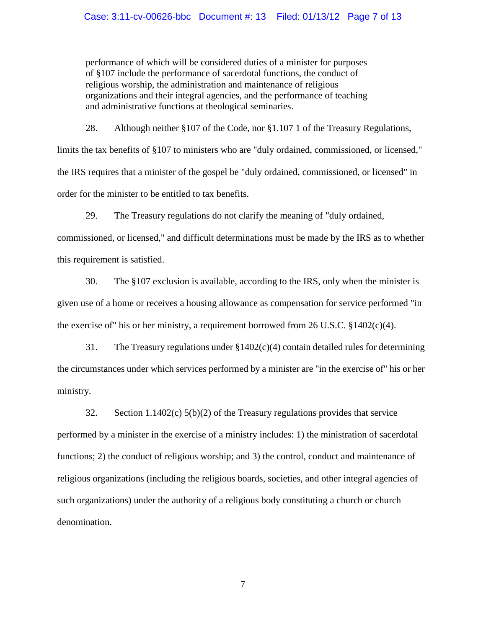performance of which will be considered duties of a minister for purposes of §107 include the performance of sacerdotal functions, the conduct of religious worship, the administration and maintenance of religious organizations and their integral agencies, and the performance of teaching and administrative functions at theological seminaries.

28. Although neither §107 of the Code, nor §1.107 1 of the Treasury Regulations, limits the tax benefits of §107 to ministers who are "duly ordained, commissioned, or licensed," the IRS requires that a minister of the gospel be "duly ordained, commissioned, or licensed" in order for the minister to be entitled to tax benefits.

29. The Treasury regulations do not clarify the meaning of "duly ordained,

commissioned, or licensed," and difficult determinations must be made by the IRS as to whether this requirement is satisfied.

30. The §107 exclusion is available, according to the IRS, only when the minister is given use of a home or receives a housing allowance as compensation for service performed "in the exercise of" his or her ministry, a requirement borrowed from 26 U.S.C. §1402(c)(4).

31. The Treasury regulations under §1402(c)(4) contain detailed rules for determining the circumstances under which services performed by a minister are "in the exercise of" his or her ministry.

32. Section 1.1402(c) 5(b)(2) of the Treasury regulations provides that service performed by a minister in the exercise of a ministry includes: 1) the ministration of sacerdotal functions; 2) the conduct of religious worship; and 3) the control, conduct and maintenance of religious organizations (including the religious boards, societies, and other integral agencies of such organizations) under the authority of a religious body constituting a church or church denomination.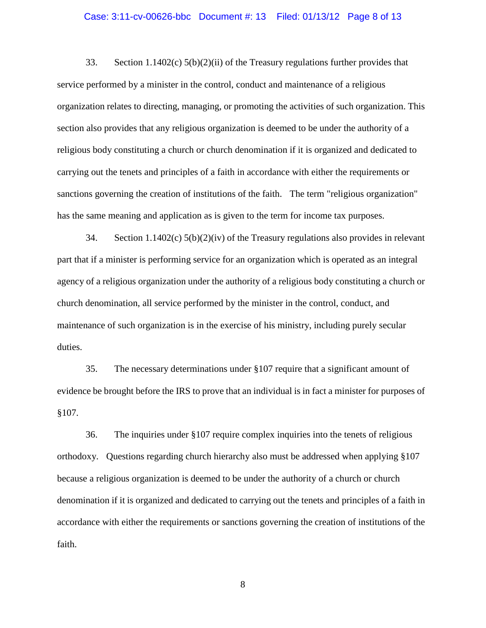### Case: 3:11-cv-00626-bbc Document #: 13 Filed: 01/13/12 Page 8 of 13

33. Section 1.1402(c) 5(b)(2)(ii) of the Treasury regulations further provides that service performed by a minister in the control, conduct and maintenance of a religious organization relates to directing, managing, or promoting the activities of such organization. This section also provides that any religious organization is deemed to be under the authority of a religious body constituting a church or church denomination if it is organized and dedicated to carrying out the tenets and principles of a faith in accordance with either the requirements or sanctions governing the creation of institutions of the faith. The term "religious organization" has the same meaning and application as is given to the term for income tax purposes.

34. Section 1.1402(c) 5(b)(2)(iv) of the Treasury regulations also provides in relevant part that if a minister is performing service for an organization which is operated as an integral agency of a religious organization under the authority of a religious body constituting a church or church denomination, all service performed by the minister in the control, conduct, and maintenance of such organization is in the exercise of his ministry, including purely secular duties.

35. The necessary determinations under §107 require that a significant amount of evidence be brought before the IRS to prove that an individual is in fact a minister for purposes of §107.

36. The inquiries under §107 require complex inquiries into the tenets of religious orthodoxy. Questions regarding church hierarchy also must be addressed when applying §107 because a religious organization is deemed to be under the authority of a church or church denomination if it is organized and dedicated to carrying out the tenets and principles of a faith in accordance with either the requirements or sanctions governing the creation of institutions of the faith.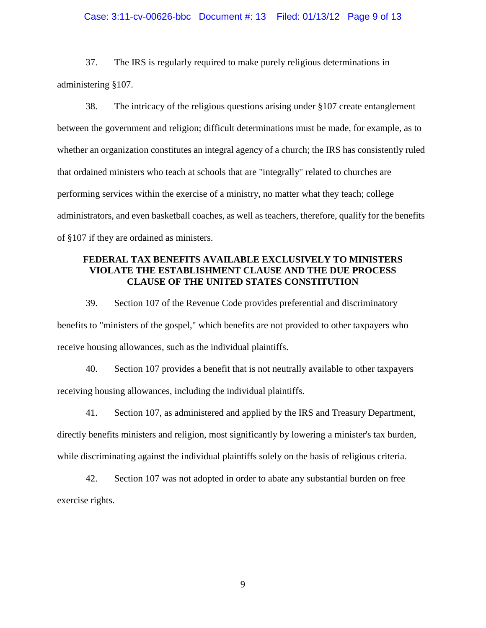### Case: 3:11-cv-00626-bbc Document #: 13 Filed: 01/13/12 Page 9 of 13

37. The IRS is regularly required to make purely religious determinations in administering §107.

38. The intricacy of the religious questions arising under §107 create entanglement between the government and religion; difficult determinations must be made, for example, as to whether an organization constitutes an integral agency of a church; the IRS has consistently ruled that ordained ministers who teach at schools that are "integrally" related to churches are performing services within the exercise of a ministry, no matter what they teach; college administrators, and even basketball coaches, as well as teachers, therefore, qualify for the benefits of §107 if they are ordained as ministers.

## **FEDERAL TAX BENEFITS AVAILABLE EXCLUSIVELY TO MINISTERS VIOLATE THE ESTABLISHMENT CLAUSE AND THE DUE PROCESS CLAUSE OF THE UNITED STATES CONSTITUTION**

39. Section 107 of the Revenue Code provides preferential and discriminatory benefits to "ministers of the gospel," which benefits are not provided to other taxpayers who receive housing allowances, such as the individual plaintiffs.

40. Section 107 provides a benefit that is not neutrally available to other taxpayers receiving housing allowances, including the individual plaintiffs.

41. Section 107, as administered and applied by the IRS and Treasury Department, directly benefits ministers and religion, most significantly by lowering a minister's tax burden, while discriminating against the individual plaintiffs solely on the basis of religious criteria.

42. Section 107 was not adopted in order to abate any substantial burden on free exercise rights.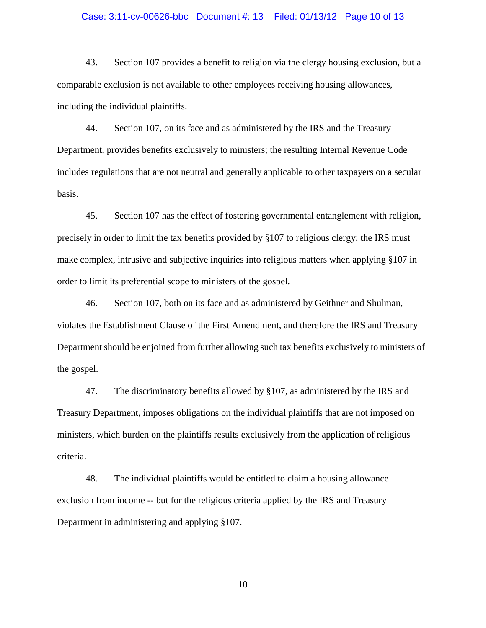### Case: 3:11-cv-00626-bbc Document #: 13 Filed: 01/13/12 Page 10 of 13

43. Section 107 provides a benefit to religion via the clergy housing exclusion, but a comparable exclusion is not available to other employees receiving housing allowances, including the individual plaintiffs.

44. Section 107, on its face and as administered by the IRS and the Treasury Department, provides benefits exclusively to ministers; the resulting Internal Revenue Code includes regulations that are not neutral and generally applicable to other taxpayers on a secular basis.

45. Section 107 has the effect of fostering governmental entanglement with religion, precisely in order to limit the tax benefits provided by §107 to religious clergy; the IRS must make complex, intrusive and subjective inquiries into religious matters when applying §107 in order to limit its preferential scope to ministers of the gospel.

46. Section 107, both on its face and as administered by Geithner and Shulman, violates the Establishment Clause of the First Amendment, and therefore the IRS and Treasury Department should be enjoined from further allowing such tax benefits exclusively to ministers of the gospel.

47. The discriminatory benefits allowed by §107, as administered by the IRS and Treasury Department, imposes obligations on the individual plaintiffs that are not imposed on ministers, which burden on the plaintiffs results exclusively from the application of religious criteria.

48. The individual plaintiffs would be entitled to claim a housing allowance exclusion from income -- but for the religious criteria applied by the IRS and Treasury Department in administering and applying §107.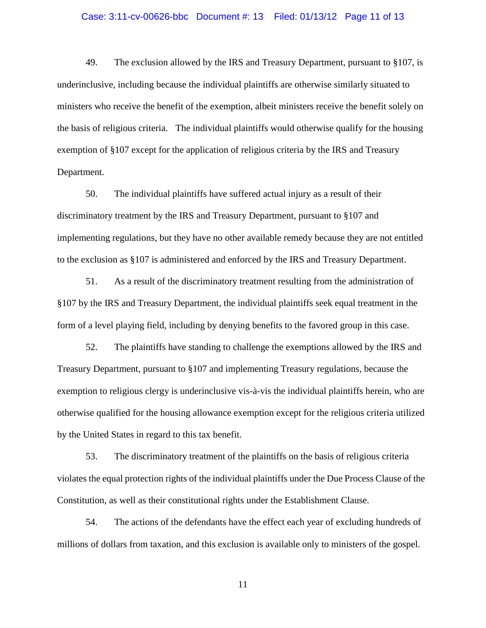## Case: 3:11-cv-00626-bbc Document #: 13 Filed: 01/13/12 Page 11 of 13

49. The exclusion allowed by the IRS and Treasury Department, pursuant to §107, is underinclusive, including because the individual plaintiffs are otherwise similarly situated to ministers who receive the benefit of the exemption, albeit ministers receive the benefit solely on the basis of religious criteria. The individual plaintiffs would otherwise qualify for the housing exemption of §107 except for the application of religious criteria by the IRS and Treasury Department.

50. The individual plaintiffs have suffered actual injury as a result of their discriminatory treatment by the IRS and Treasury Department, pursuant to §107 and implementing regulations, but they have no other available remedy because they are not entitled to the exclusion as §107 is administered and enforced by the IRS and Treasury Department.

51. As a result of the discriminatory treatment resulting from the administration of §107 by the IRS and Treasury Department, the individual plaintiffs seek equal treatment in the form of a level playing field, including by denying benefits to the favored group in this case.

52. The plaintiffs have standing to challenge the exemptions allowed by the IRS and Treasury Department, pursuant to §107 and implementing Treasury regulations, because the exemption to religious clergy is underinclusive vis-à-vis the individual plaintiffs herein, who are otherwise qualified for the housing allowance exemption except for the religious criteria utilized by the United States in regard to this tax benefit.

53. The discriminatory treatment of the plaintiffs on the basis of religious criteria violates the equal protection rights of the individual plaintiffs under the Due Process Clause of the Constitution, as well as their constitutional rights under the Establishment Clause.

54. The actions of the defendants have the effect each year of excluding hundreds of millions of dollars from taxation, and this exclusion is available only to ministers of the gospel.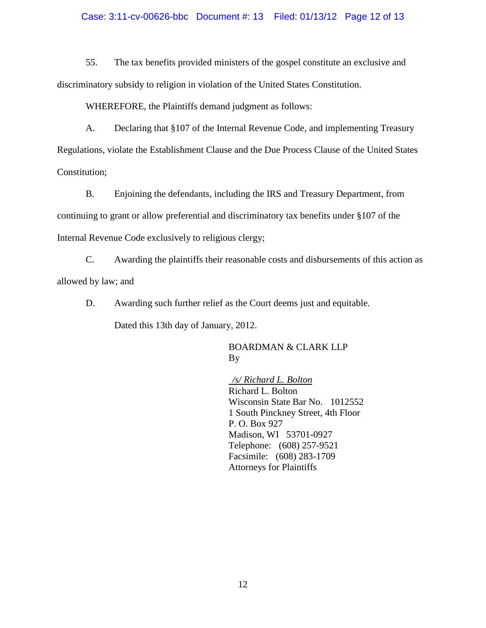## Case: 3:11-cv-00626-bbc Document #: 13 Filed: 01/13/12 Page 12 of 13

55. The tax benefits provided ministers of the gospel constitute an exclusive and discriminatory subsidy to religion in violation of the United States Constitution.

WHEREFORE, the Plaintiffs demand judgment as follows:

A. Declaring that §107 of the Internal Revenue Code, and implementing Treasury Regulations, violate the Establishment Clause and the Due Process Clause of the United States Constitution;

B. Enjoining the defendants, including the IRS and Treasury Department, from continuing to grant or allow preferential and discriminatory tax benefits under §107 of the Internal Revenue Code exclusively to religious clergy;

C. Awarding the plaintiffs their reasonable costs and disbursements of this action as allowed by law; and

D. Awarding such further relief as the Court deems just and equitable.

Dated this 13th day of January, 2012.

## BOARDMAN & CLARK LLP By

*/s/ Richard L. Bolton* Richard L. Bolton Wisconsin State Bar No. 1012552 1 South Pinckney Street, 4th Floor P. O. Box 927 Madison, WI 53701-0927 Telephone: (608) 257-9521 Facsimile: (608) 283-1709 Attorneys for Plaintiffs